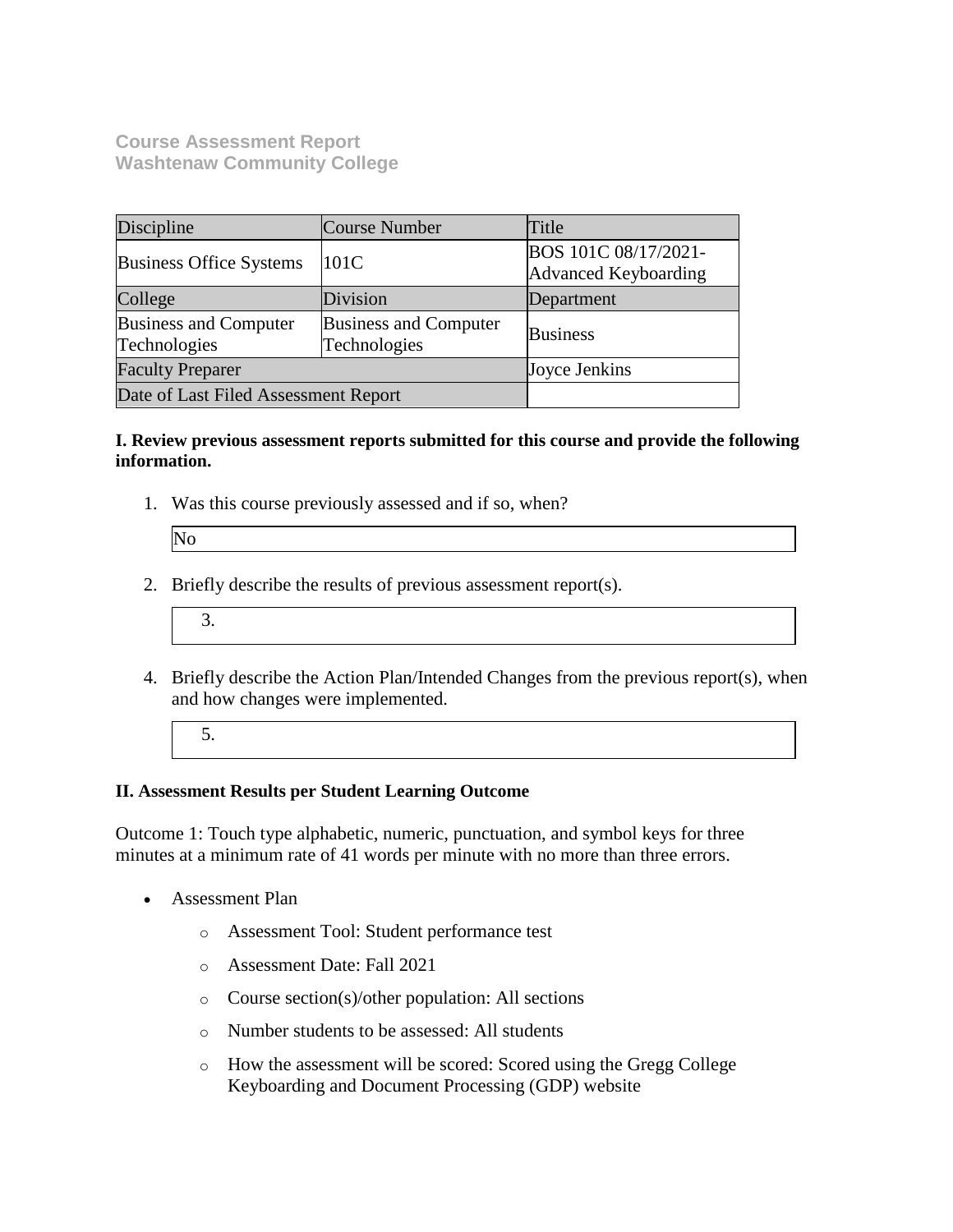**Course Assessment Report Washtenaw Community College**

| Discipline                                   | Course Number                                | Title                                               |  |
|----------------------------------------------|----------------------------------------------|-----------------------------------------------------|--|
| <b>Business Office Systems</b>               | 101C                                         | BOS 101C 08/17/2021-<br><b>Advanced Keyboarding</b> |  |
| College                                      | Division                                     | Department                                          |  |
| <b>Business and Computer</b><br>Technologies | <b>Business and Computer</b><br>Technologies | <b>Business</b>                                     |  |
| <b>Faculty Preparer</b>                      |                                              | Joyce Jenkins                                       |  |
| Date of Last Filed Assessment Report         |                                              |                                                     |  |

## **I. Review previous assessment reports submitted for this course and provide the following information.**

1. Was this course previously assessed and if so, when?

| No |  |  |
|----|--|--|

- 2. Briefly describe the results of previous assessment report(s).
	- 3.
- 4. Briefly describe the Action Plan/Intended Changes from the previous report(s), when and how changes were implemented.
	- 5.

## **II. Assessment Results per Student Learning Outcome**

Outcome 1: Touch type alphabetic, numeric, punctuation, and symbol keys for three minutes at a minimum rate of 41 words per minute with no more than three errors.

- Assessment Plan
	- o Assessment Tool: Student performance test
	- o Assessment Date: Fall 2021
	- o Course section(s)/other population: All sections
	- o Number students to be assessed: All students
	- o How the assessment will be scored: Scored using the Gregg College Keyboarding and Document Processing (GDP) website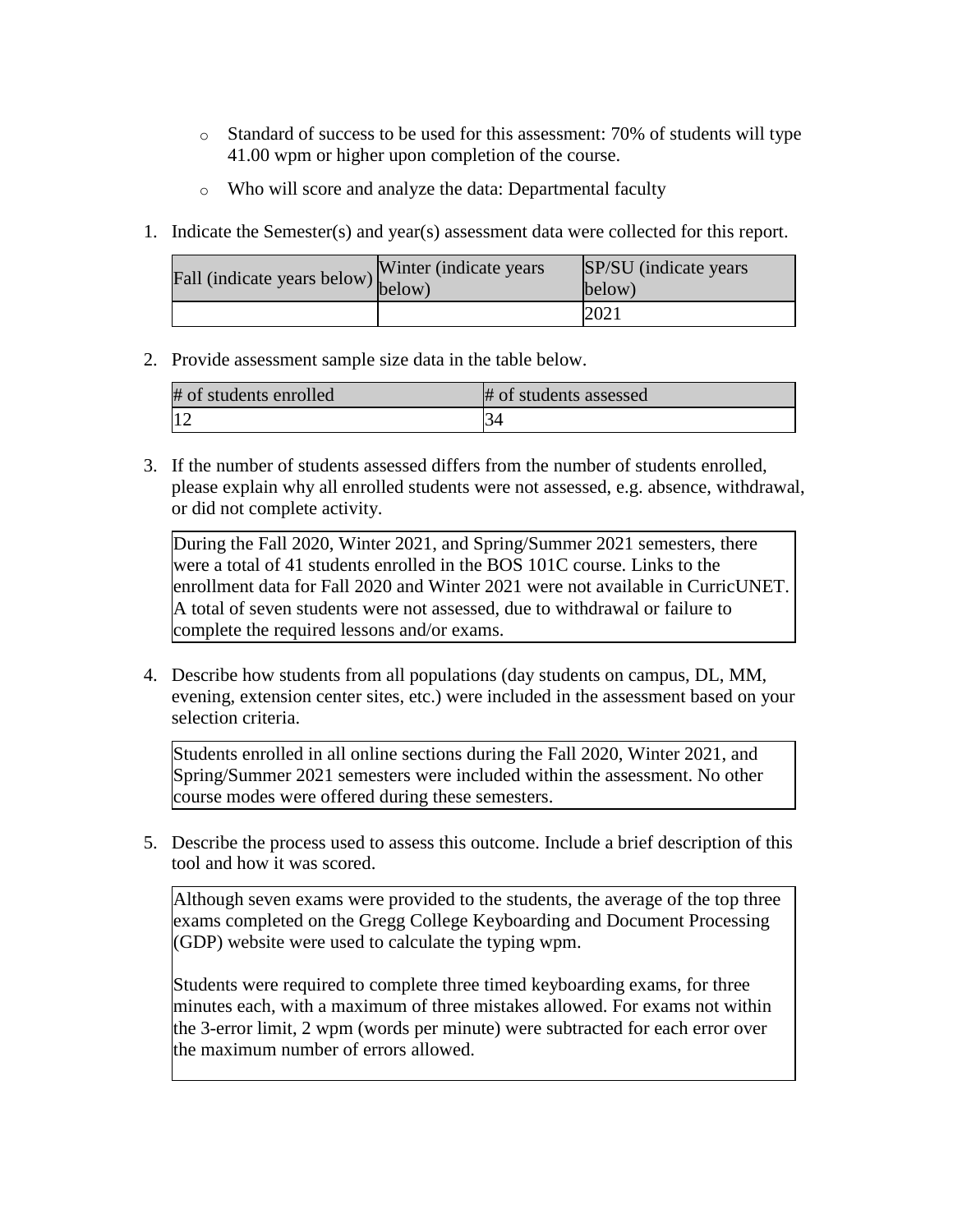- $\circ$  Standard of success to be used for this assessment: 70% of students will type 41.00 wpm or higher upon completion of the course.
- o Who will score and analyze the data: Departmental faculty
- 1. Indicate the Semester(s) and year(s) assessment data were collected for this report.

| rall (indicate years below) below) | Winter (indicate years) | SP/SU (indicate years)<br>below) |
|------------------------------------|-------------------------|----------------------------------|
|                                    |                         | 2021                             |

2. Provide assessment sample size data in the table below.

| # of students enrolled | # of students assessed |
|------------------------|------------------------|
|                        | D4                     |

3. If the number of students assessed differs from the number of students enrolled, please explain why all enrolled students were not assessed, e.g. absence, withdrawal, or did not complete activity.

During the Fall 2020, Winter 2021, and Spring/Summer 2021 semesters, there were a total of 41 students enrolled in the BOS 101C course. Links to the enrollment data for Fall 2020 and Winter 2021 were not available in CurricUNET. A total of seven students were not assessed, due to withdrawal or failure to complete the required lessons and/or exams.

4. Describe how students from all populations (day students on campus, DL, MM, evening, extension center sites, etc.) were included in the assessment based on your selection criteria.

Students enrolled in all online sections during the Fall 2020, Winter 2021, and Spring/Summer 2021 semesters were included within the assessment. No other course modes were offered during these semesters.

5. Describe the process used to assess this outcome. Include a brief description of this tool and how it was scored.

Although seven exams were provided to the students, the average of the top three exams completed on the Gregg College Keyboarding and Document Processing (GDP) website were used to calculate the typing wpm.

Students were required to complete three timed keyboarding exams, for three minutes each, with a maximum of three mistakes allowed. For exams not within the 3-error limit, 2 wpm (words per minute) were subtracted for each error over the maximum number of errors allowed.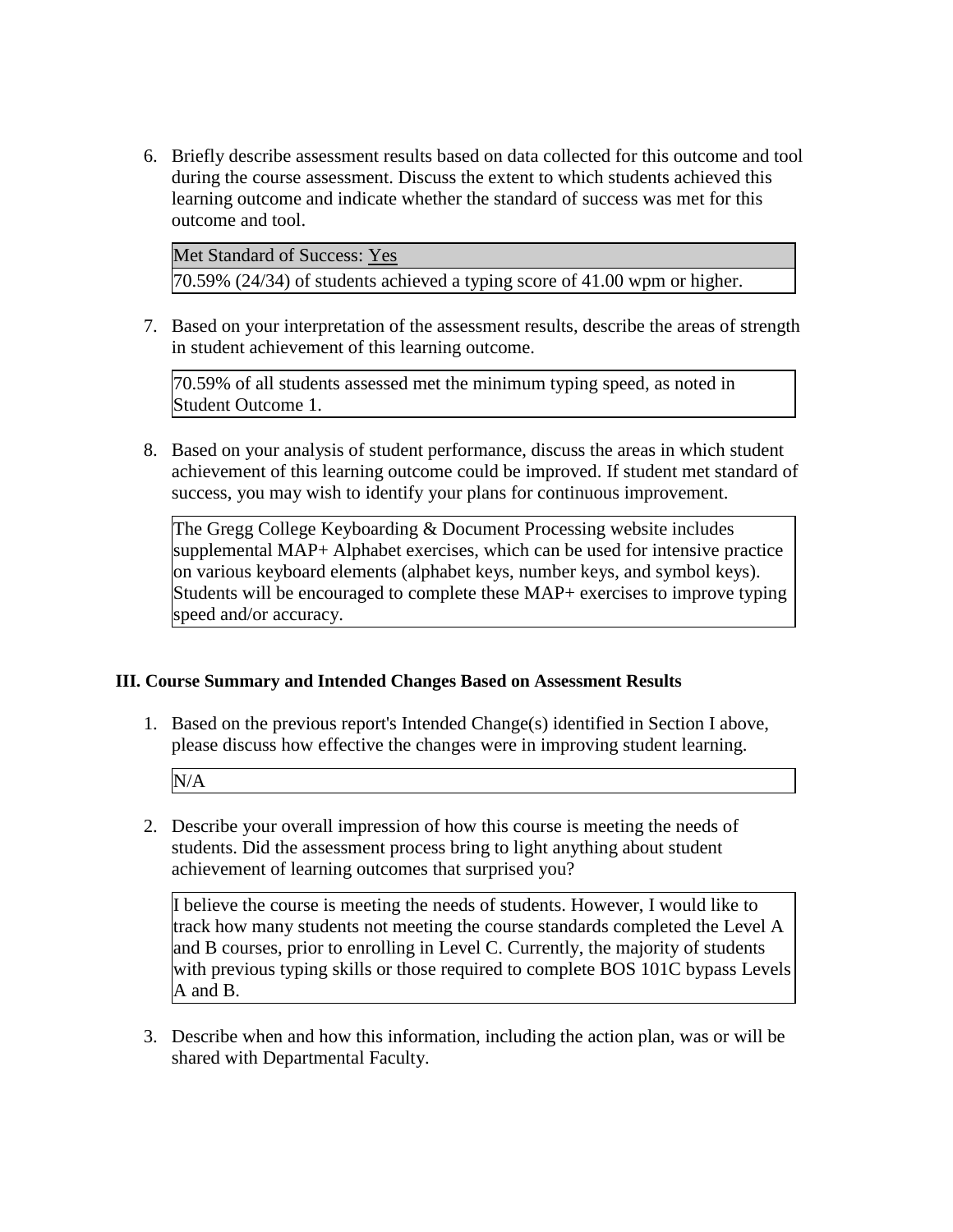6. Briefly describe assessment results based on data collected for this outcome and tool during the course assessment. Discuss the extent to which students achieved this learning outcome and indicate whether the standard of success was met for this outcome and tool.

Met Standard of Success: Yes

70.59% (24/34) of students achieved a typing score of 41.00 wpm or higher.

7. Based on your interpretation of the assessment results, describe the areas of strength in student achievement of this learning outcome.

70.59% of all students assessed met the minimum typing speed, as noted in Student Outcome 1.

8. Based on your analysis of student performance, discuss the areas in which student achievement of this learning outcome could be improved. If student met standard of success, you may wish to identify your plans for continuous improvement.

The Gregg College Keyboarding & Document Processing website includes supplemental MAP+ Alphabet exercises, which can be used for intensive practice on various keyboard elements (alphabet keys, number keys, and symbol keys). Students will be encouraged to complete these MAP+ exercises to improve typing speed and/or accuracy.

## **III. Course Summary and Intended Changes Based on Assessment Results**

1. Based on the previous report's Intended Change(s) identified in Section I above, please discuss how effective the changes were in improving student learning.

N/A

2. Describe your overall impression of how this course is meeting the needs of students. Did the assessment process bring to light anything about student achievement of learning outcomes that surprised you?

I believe the course is meeting the needs of students. However, I would like to track how many students not meeting the course standards completed the Level A and B courses, prior to enrolling in Level C. Currently, the majority of students with previous typing skills or those required to complete BOS 101C bypass Levels A and B.

3. Describe when and how this information, including the action plan, was or will be shared with Departmental Faculty.